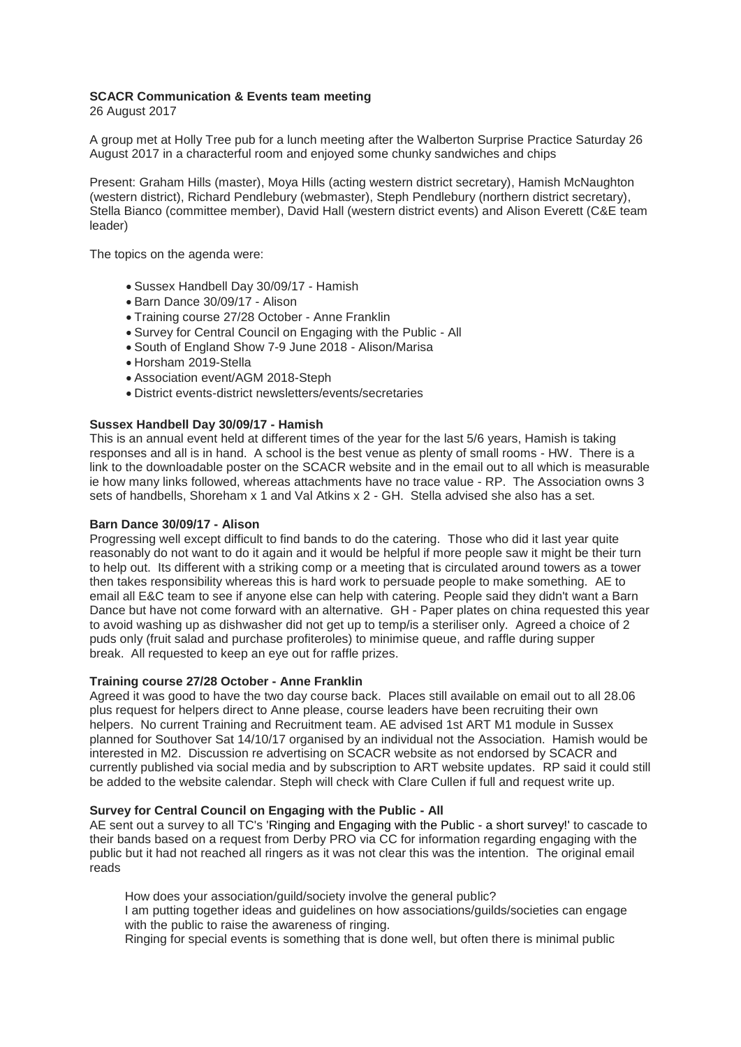# **SCACR Communication & Events team meeting**

26 August 2017

A group met at Holly Tree pub for a lunch meeting after the Walberton Surprise Practice Saturday 26 August 2017 in a characterful room and enjoyed some chunky sandwiches and chips

Present: Graham Hills (master), Moya Hills (acting western district secretary), Hamish McNaughton (western district), Richard Pendlebury (webmaster), Steph Pendlebury (northern district secretary), Stella Bianco (committee member), David Hall (western district events) and Alison Everett (C&E team leader)

The topics on the agenda were:

- Sussex Handbell Day 30/09/17 Hamish
- Barn Dance 30/09/17 Alison
- Training course 27/28 October Anne Franklin
- Survey for Central Council on Engaging with the Public All
- South of England Show 7-9 June 2018 Alison/Marisa
- Horsham 2019-Stella
- Association event/AGM 2018-Steph
- District events-district newsletters/events/secretaries

# **Sussex Handbell Day 30/09/17 - Hamish**

This is an annual event held at different times of the year for the last 5/6 years, Hamish is taking responses and all is in hand. A school is the best venue as plenty of small rooms - HW. There is a link to the downloadable poster on the SCACR website and in the email out to all which is measurable ie how many links followed, whereas attachments have no trace value - RP. The Association owns 3 sets of handbells, Shoreham x 1 and Val Atkins x 2 - GH. Stella advised she also has a set.

# **Barn Dance 30/09/17 - Alison**

Progressing well except difficult to find bands to do the catering. Those who did it last year quite reasonably do not want to do it again and it would be helpful if more people saw it might be their turn to help out. Its different with a striking comp or a meeting that is circulated around towers as a tower then takes responsibility whereas this is hard work to persuade people to make something. AE to email all E&C team to see if anyone else can help with catering. People said they didn't want a Barn Dance but have not come forward with an alternative. GH - Paper plates on china requested this year to avoid washing up as dishwasher did not get up to temp/is a steriliser only. Agreed a choice of 2 puds only (fruit salad and purchase profiteroles) to minimise queue, and raffle during supper break. All requested to keep an eye out for raffle prizes.

### **Training course 27/28 October - Anne Franklin**

Agreed it was good to have the two day course back. Places still available on email out to all 28.06 plus request for helpers direct to Anne please, course leaders have been recruiting their own helpers. No current Training and Recruitment team. AE advised 1st ART M1 module in Sussex planned for Southover Sat 14/10/17 organised by an individual not the Association. Hamish would be interested in M2. Discussion re advertising on SCACR website as not endorsed by SCACR and currently published via social media and by subscription to ART website updates. RP said it could still be added to the website calendar. Steph will check with Clare Cullen if full and request write up.

# **Survey for Central Council on Engaging with the Public - All**

AE sent out a survey to all TC's 'Ringing and Engaging with the Public - a short survey!' to cascade to their bands based on a request from Derby PRO via CC for information regarding engaging with the public but it had not reached all ringers as it was not clear this was the intention. The original email reads

How does your association/guild/society involve the general public? I am putting together ideas and guidelines on how associations/guilds/societies can engage with the public to raise the awareness of ringing. Ringing for special events is something that is done well, but often there is minimal public